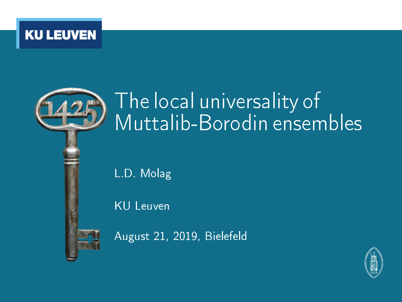



# The local universality of Muttalib-Borodin ensembles

L.D. Molag

KU Leuven

August 21, 2019, Bielefeld

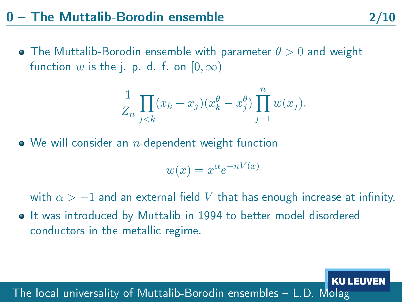• The Muttalib-Borodin ensemble with parameter  $\theta > 0$  and weight function  $w$  is the j. p. d. f. on  $[0,\infty)$ 

$$
\frac{1}{Z_n} \prod_{j < k} (x_k - x_j)(x_k^{\theta} - x_j^{\theta}) \prod_{j=1}^n w(x_j).
$$

 $\bullet$  We will consider an *n*-dependent weight function

$$
w(x) = x^{\alpha} e^{-nV(x)}
$$

with  $\alpha > -1$  and an external field V that has enough increase at infinity.

**•** It was introduced by Muttalib in 1994 to better model disordered conductors in the metallic regime.

#### The local universality of Muttalib-Borodin ensembles L.D. Molag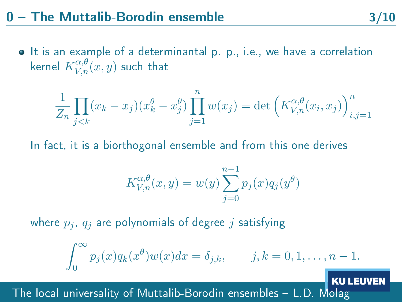• It is an example of a determinantal p. p., i.e., we have a correlation kernel  $K^{\alpha,\theta}_{V,n}(x,y)$  such that

$$
\frac{1}{Z_n} \prod_{j < k} (x_k - x_j)(x_k^{\theta} - x_j^{\theta}) \prod_{j=1}^n w(x_j) = \det \left( K_{V,n}^{\alpha, \theta}(x_i, x_j) \right)_{i,j=1}^n
$$

In fact, it is a biorthogonal ensemble and from this one derives

$$
K_{V,n}^{\alpha,\theta}(x,y) = w(y) \sum_{j=0}^{n-1} p_j(x) q_j(y^{\theta})
$$

where  $p_i$ ,  $q_i$  are polynomials of degree j satisfying

$$
\int_0^\infty p_j(x)q_k(x^{\theta})w(x)dx = \delta_{j,k}, \qquad j,k = 0, 1, \ldots, n-1.
$$

The local universality of Muttalib-Borodin ensembles L.D. Molag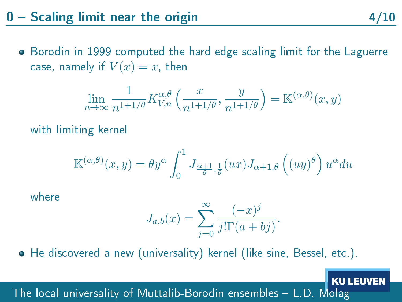## $0 -$  Scaling limit near the origin  $4/10$

• Borodin in 1999 computed the hard edge scaling limit for the Laguerre case, namely if  $V(x) = x$ , then

$$
\lim_{n \to \infty} \frac{1}{n^{1+1/\theta}} K_{V,n}^{\alpha,\theta} \left( \frac{x}{n^{1+1/\theta}}, \frac{y}{n^{1+1/\theta}} \right) = \mathbb{K}^{(\alpha,\theta)}(x, y)
$$

with limiting kernel

$$
\mathbb{K}^{(\alpha,\theta)}(x,y) = \theta y^{\alpha} \int_0^1 J_{\frac{\alpha+1}{\theta},\frac{1}{\theta}}(ux) J_{\alpha+1,\theta}\left((uy)^{\theta}\right) u^{\alpha} du
$$

where

$$
J_{a,b}(x) = \sum_{j=0}^{\infty} \frac{(-x)^j}{j!\Gamma(a+bj)}.
$$

He discovered a new (universality) kernel (like sine, Bessel, etc.).

The local universality of Muttalib-Borodin ensembles L.D. Molag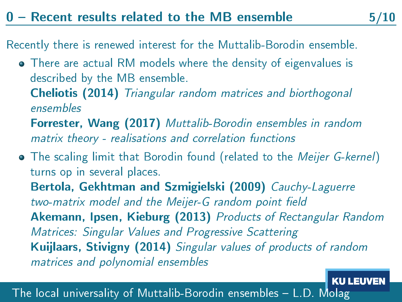#### $0$  – Recent results related to the MB ensemble

Recently there is renewed interest for the Muttalib-Borodin ensemble.

- There are actual RM models where the density of eigenvalues is described by the MB ensemble.
	- Cheliotis (2014) Triangular random matrices and biorthogonal ensembles
	- Forrester, Wang (2017) Muttalib-Borodin ensembles in random matrix theory - realisations and correlation functions
- The scaling limit that Borodin found (related to the *Meijer G-kernel*) turns op in several places. Bertola, Gekhtman and Szmigielski (2009) Cauchy-Laguerre two-matrix model and the Meijer-G random point field Akemann, Ipsen, Kieburg (2013) Products of Rectangular Random Matrices: Singular Values and Progressive Scattering Kuijlaars, Stivigny (2014) Singular values of products of random matrices and polynomial ensembles

The local universality of Muttalib-Borodin ensembles L.D. Molag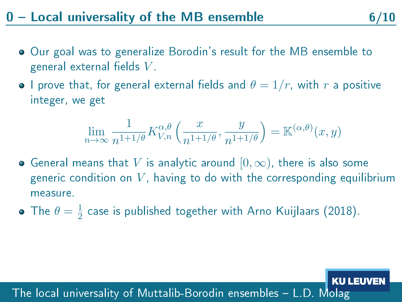## $0$  – Local universality of the MB ensemble  $6/10$

- Our goal was to generalize Borodin's result for the MB ensemble to general external fields  $V$ .
- $\bullet$  I prove that, for general external fields and  $\theta = 1/r$ , with r a positive integer, we get

$$
\lim_{n \to \infty} \frac{1}{n^{1+1/\theta}} K_{V,n}^{\alpha,\theta} \left( \frac{x}{n^{1+1/\theta}}, \frac{y}{n^{1+1/\theta}} \right) = \mathbb{K}^{(\alpha,\theta)}(x, y)
$$

- $\bullet$  General means that  $V$  is analytic around  $[0,\infty)$ , there is also some generic condition on  $V$ , having to do with the corresponding equilibrium measure.
- The  $\theta=\frac{1}{2}$  $\frac{1}{2}$  case is published together with Arno Kuijlaars (2018).

The local universality of Muttalib-Borodin ensembles L.D. Molag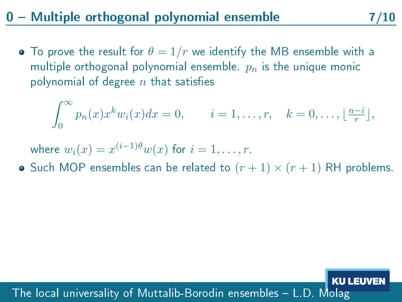## $0$  – Multiple orthogonal polynomial ensemble  $7/10$

• To prove the result for  $\theta = 1/r$  we identify the MB ensemble with a multiple orthogonal polynomial ensemble.  $p_n$  is the unique monic polynomial of degree  $n$  that satisfies

$$
\int_0^\infty p_n(x)x^k w_i(x) dx = 0, \qquad i = 1, \dots, r, \quad k = 0, \dots, \lfloor \frac{n-i}{r} \rfloor,
$$

- where  $w_i(x) = x^{(i-1)\theta} w(x)$  for  $i = 1, \ldots, r$ .
- Such MOP ensembles can be related to  $(r + 1) \times (r + 1)$  RH problems.

#### The local universality of Muttalib-Borodin ensembles L.D. Molag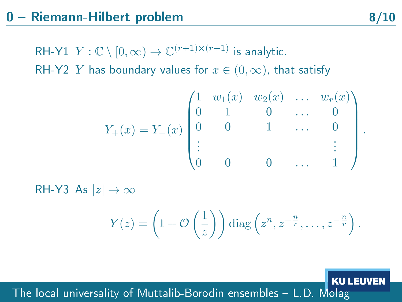RH-Y1  $Y:\mathbb{C}\setminus[0,\infty)\to\mathbb{C}^{(r+1)\times(r+1)}$  is analytic. RH-Y2 Y has boundary values for  $x \in (0, \infty)$ , that satisfy

$$
Y_{+}(x) = Y_{-}(x) \begin{pmatrix} 1 & w_{1}(x) & w_{2}(x) & \dots & w_{r}(x) \\ 0 & 1 & 0 & \dots & 0 \\ 0 & 0 & 1 & \dots & 0 \\ \vdots & & & & \vdots \\ 0 & 0 & 0 & \dots & 1 \end{pmatrix}.
$$

RH-Y3 As  $|z| \to \infty$ 

$$
Y(z) = \left(\mathbb{I} + \mathcal{O}\left(\frac{1}{z}\right)\right) \operatorname{diag}\left(z^n, z^{-\frac{n}{r}}, \ldots, z^{-\frac{n}{r}}\right).
$$

The local universality of Muttalib-Borodin ensembles L.D. Molag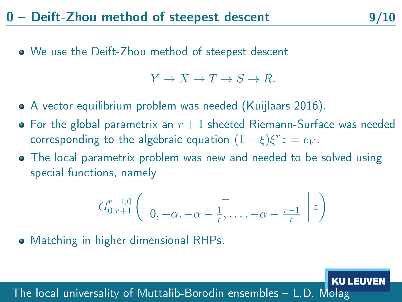We use the Deift-Zhou method of steepest descent

 $Y \to X \to T \to S \to R$ .

- A vector equilibrium problem was needed (Kuijlaars 2016).
- $\bullet$  For the global parametrix an  $r+1$  sheeted Riemann-Surface was needed corresponding to the algebraic equation  $(1 - \xi)\xi^r z = c_V.$
- The local parametrix problem was new and needed to be solved using special functions, namely

$$
G_{0,r+1}^{r+1,0}\left(\begin{array}{c} -\\0,-\alpha,-\alpha-\frac{1}{r},\ldots,-\alpha-\frac{r-1}{r} \end{array}\bigg|z\right)
$$

Matching in higher dimensional RHPs.

The local universality of Muttalib-Borodin ensembles L.D. Molag